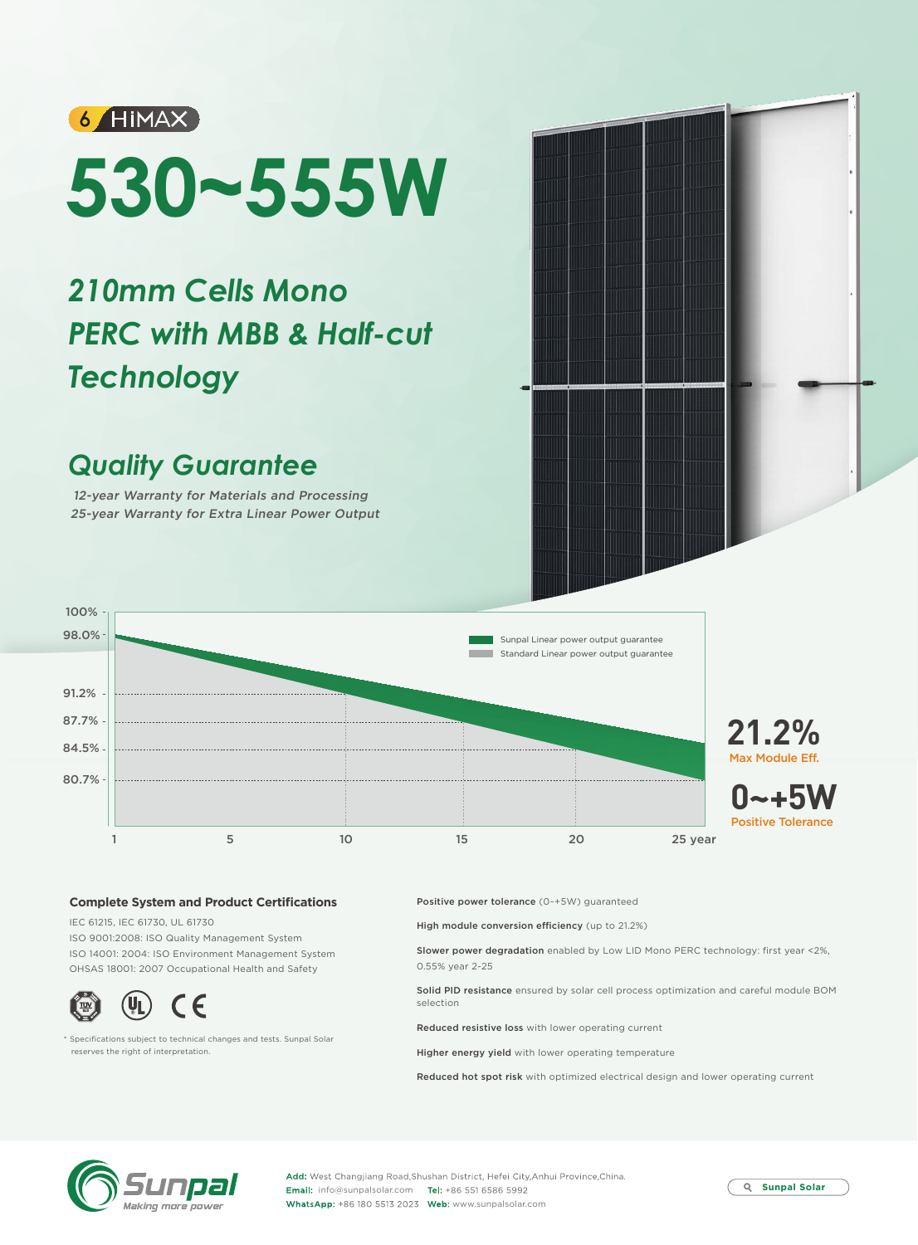

# **530~555W**

# *210mm Cells Mono PERC with MBB & Half-cut Technology*

## *Quality Guarantee*

12-year Warranty for Materials and Processing 25-year Warranty for Extra Linear Power Output



### **Complete System and Product Certifications**

IEC 61215, IEC 61730, UL 61730 ISO 9001:2008: ISO Quality Management System ISO 14001: 2004: ISO Environment Management System OHSAS 18001: 2007 Occupational Health and Safety



\* Specifications subject to technical changes and tests. Sunpal Solar reserves the right of interpretation.

Positive power tolerance (0~+5W) guaranteed

High module conversion efficiency (up to 21.2%)

Slower power degradation enabled by Low LID Mono PERC technology: first year <2%, 0.55% year 2-25

Solid PID resistance ensured by solar cell process optimization and careful module BOM selection

Reduced resistive loss with lower operating current

Higher energy yield with lower operating temperature

Reduced hot spot risk with optimized electrical design and lower operating current